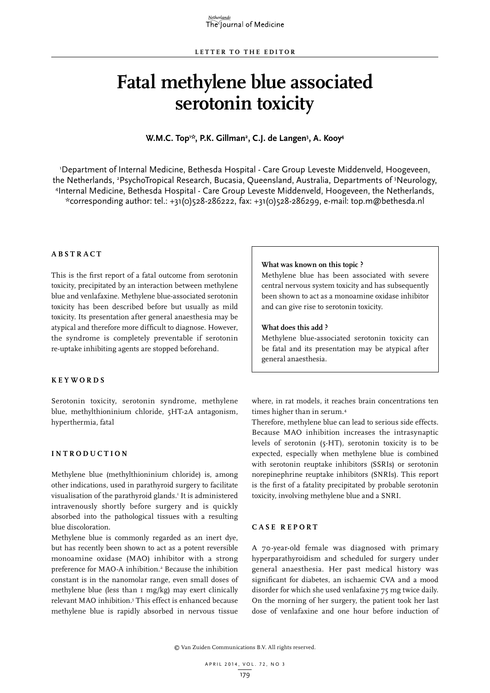# **Fatal methylene blue associated serotonin toxicity**

**W.M.C. Top1 \*, P.K. Gillman2 , C.J. de Langen3 , A. Kooy4**

1 Department of Internal Medicine, Bethesda Hospital - Care Group Leveste Middenveld, Hoogeveen, the Netherlands, 2 PsychoTropical Research, Bucasia, Queensland, Australia, Departments of 3 Neurology, 4 Internal Medicine, Bethesda Hospital - Care Group Leveste Middenveld, Hoogeveen, the Netherlands, \*corresponding author: tel.: +31(0)528-286222, fax: +31(0)528-286299, e-mail: top.m@bethesda.nl

# **A B STRA C T**

This is the first report of a fatal outcome from serotonin toxicity, precipitated by an interaction between methylene blue and venlafaxine. Methylene blue-associated serotonin toxicity has been described before but usually as mild toxicity. Its presentation after general anaesthesia may be atypical and therefore more difficult to diagnose. However, the syndrome is completely preventable if serotonin re-uptake inhibiting agents are stopped beforehand.

#### **K E Y W ORDS**

Serotonin toxicity, serotonin syndrome, methylene blue, methylthioninium chloride, 5HT-2A antagonism, hyperthermia, fatal

#### **INTROD U C TION**

Methylene blue (methylthioninium chloride) is, among other indications, used in parathyroid surgery to facilitate visualisation of the parathyroid glands.1 It is administered intravenously shortly before surgery and is quickly absorbed into the pathological tissues with a resulting blue discoloration.

Methylene blue is commonly regarded as an inert dye, but has recently been shown to act as a potent reversible monoamine oxidase (MAO) inhibitor with a strong preference for MAO-A inhibition.<sup>2</sup> Because the inhibition constant is in the nanomolar range, even small doses of methylene blue (less than 1 mg/kg) may exert clinically relevant MAO inhibition.3 This effect is enhanced because methylene blue is rapidly absorbed in nervous tissue

#### **What was known on this topic ?**

Methylene blue has been associated with severe central nervous system toxicity and has subsequently been shown to act as a monoamine oxidase inhibitor and can give rise to serotonin toxicity.

## **What does this add ?**

Methylene blue-associated serotonin toxicity can be fatal and its presentation may be atypical after general anaesthesia.

where, in rat models, it reaches brain concentrations ten times higher than in serum.4

Therefore, methylene blue can lead to serious side effects. Because MAO inhibition increases the intrasynaptic levels of serotonin (5-HT), serotonin toxicity is to be expected, especially when methylene blue is combined with serotonin reuptake inhibitors (SSRIs) or serotonin norepinephrine reuptake inhibitors (SNRIs). This report is the first of a fatality precipitated by probable serotonin toxicity, involving methylene blue and a SNRI.

# **C ASE RE P ORT**

A 70-year-old female was diagnosed with primary hyperparathyroidism and scheduled for surgery under general anaesthesia. Her past medical history was significant for diabetes, an ischaemic CVA and a mood disorder for which she used venlafaxine 75 mg twice daily. On the morning of her surgery, the patient took her last dose of venlafaxine and one hour before induction of

© Van Zuiden Communications B.V. All rights reserved.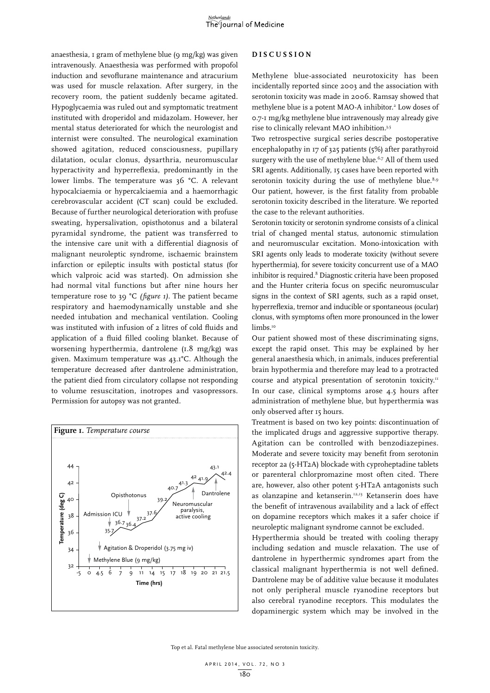anaesthesia, 1 gram of methylene blue (9 mg/kg) was given intravenously. Anaesthesia was performed with propofol induction and sevoflurane maintenance and atracurium was used for muscle relaxation. After surgery, in the recovery room, the patient suddenly became agitated. Hypoglycaemia was ruled out and symptomatic treatment instituted with droperidol and midazolam. However, her mental status deteriorated for which the neurologist and internist were consulted. The neurological examination showed agitation, reduced consciousness, pupillary dilatation, ocular clonus, dysarthria, neuromuscular hyperactivity and hyperreflexia, predominantly in the lower limbs. The temperature was 36 °C. A relevant hypocalciaemia or hypercalciaemia and a haemorrhagic cerebrovascular accident (CT scan) could be excluded. Because of further neurological deterioration with profuse sweating, hypersalivation, opisthotonus and a bilateral pyramidal syndrome, the patient was transferred to the intensive care unit with a differential diagnosis of malignant neuroleptic syndrome, ischaemic brainstem infarction or epileptic insults with postictal status (for which valproic acid was started). On admission she had normal vital functions but after nine hours her temperature rose to 39 °C *(figure 1)*. The patient became respiratory and haemodynamically unstable and she needed intubation and mechanical ventilation. Cooling was instituted with infusion of 2 litres of cold fluids and application of a fluid filled cooling blanket. Because of worsening hyperthermia, dantrolene (1.8 mg/kg) was given. Maximum temperature was 43.1°C. Although the temperature decreased after dantrolene administration, the patient died from circulatory collapse not responding to volume resuscitation, inotropes and vasopressors. Permission for autopsy was not granted.



#### **DIS C U SSION**

Methylene blue-associated neurotoxicity has been incidentally reported since 2003 and the association with serotonin toxicity was made in 2006. Ramsay showed that methylene blue is a potent MAO-A inhibitor.<sup>2</sup> Low doses of 0.7-1 mg/kg methylene blue intravenously may already give rise to clinically relevant MAO inhibition.3,5

Two retrospective surgical series describe postoperative encephalopathy in 17 of 325 patients (5%) after parathyroid surgery with the use of methylene blue.<sup>6,7</sup> All of them used SRI agents. Additionally, 15 cases have been reported with serotonin toxicity during the use of methylene blue. $8.9$ Our patient, however, is the first fatality from probable serotonin toxicity described in the literature. We reported the case to the relevant authorities.

Serotonin toxicity or serotonin syndrome consists of a clinical trial of changed mental status, autonomic stimulation and neuromuscular excitation. Mono-intoxication with SRI agents only leads to moderate toxicity (without severe hyperthermia), for severe toxicity concurrent use of a MAO inhibitor is required.<sup>8</sup> Diagnostic criteria have been proposed and the Hunter criteria focus on specific neuromuscular signs in the context of SRI agents, such as a rapid onset, hyperreflexia, tremor and inducible or spontaneous (ocular) clonus, with symptoms often more pronounced in the lower limbs.<sup>10</sup>

Our patient showed most of these discriminating signs, except the rapid onset. This may be explained by her general anaesthesia which, in animals, induces preferential brain hypothermia and therefore may lead to a protracted course and atypical presentation of serotonin toxicity.<sup>11</sup> In our case, clinical symptoms arose 4.5 hours after administration of methylene blue, but hyperthermia was only observed after 15 hours.

Treatment is based on two key points: discontinuation of the implicated drugs and aggressive supportive therapy. Agitation can be controlled with benzodiazepines. Moderate and severe toxicity may benefit from serotonin receptor 2a (5-HT2A) blockade with cyproheptadine tablets or parenteral chlorpromazine most often cited. There are, however, also other potent 5-HT2A antagonists such as olanzapine and ketanserin.12,13 Ketanserin does have the benefit of intravenous availability and a lack of effect on dopamine receptors which makes it a safer choice if neuroleptic malignant syndrome cannot be excluded.

Hyperthermia should be treated with cooling therapy including sedation and muscle relaxation. The use of dantrolene in hyperthermic syndromes apart from the classical malignant hyperthermia is not well defined. Dantrolene may be of additive value because it modulates not only peripheral muscle ryanodine receptors but also cerebral ryanodine receptors. This modulates the dopaminergic system which may be involved in the